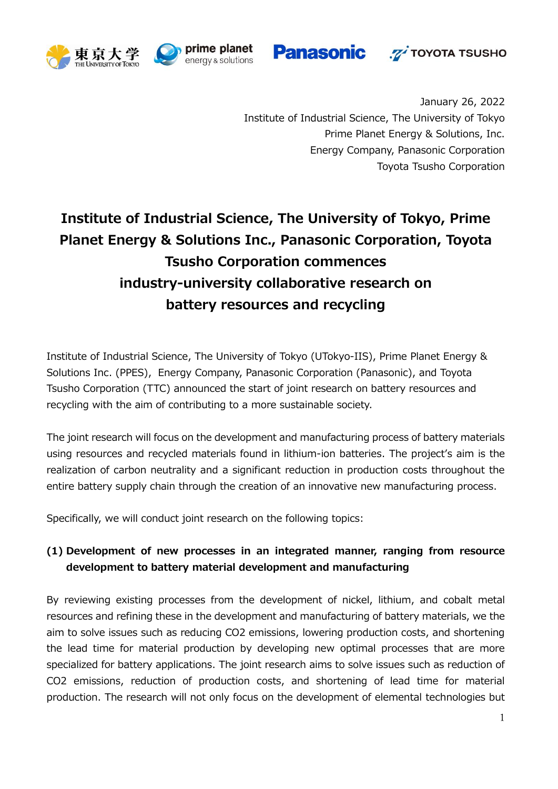







January 26, 2022 Institute of Industrial Science, The University of Tokyo Prime Planet Energy & Solutions, Inc. Energy Company, Panasonic Corporation Toyota Tsusho Corporation

# **Institute of Industrial Science, The University of Tokyo, Prime Planet Energy & Solutions Inc., Panasonic Corporation, Toyota Tsusho Corporation commences industry-university collaborative research on battery resources and recycling**

Institute of Industrial Science, The University of Tokyo (UTokyo-IIS), Prime Planet Energy & Solutions Inc. (PPES), Energy Company, Panasonic Corporation (Panasonic), and Toyota Tsusho Corporation (TTC) announced the start of joint research on battery resources and recycling with the aim of contributing to a more sustainable society.

The joint research will focus on the development and manufacturing process of battery materials using resources and recycled materials found in lithium-ion batteries. The project's aim is the realization of carbon neutrality and a significant reduction in production costs throughout the entire battery supply chain through the creation of an innovative new manufacturing process.

Specifically, we will conduct joint research on the following topics:

## **(1) Development of new processes in an integrated manner, ranging from resource development to battery material development and manufacturing**

By reviewing existing processes from the development of nickel, lithium, and cobalt metal resources and refining these in the development and manufacturing of battery materials, we the aim to solve issues such as reducing CO2 emissions, lowering production costs, and shortening the lead time for material production by developing new optimal processes that are more specialized for battery applications. The joint research aims to solve issues such as reduction of CO2 emissions, reduction of production costs, and shortening of lead time for material production. The research will not only focus on the development of elemental technologies but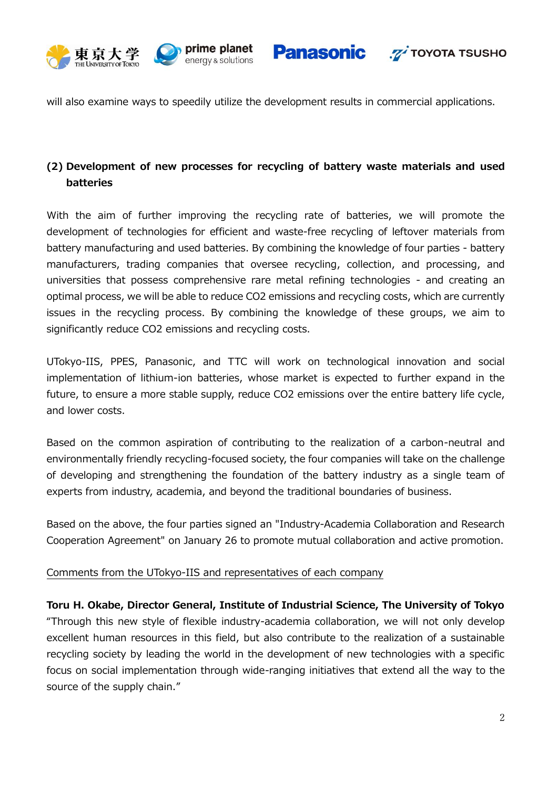





will also examine ways to speedily utilize the development results in commercial applications.

## **(2) Development of new processes for recycling of battery waste materials and used batteries**

With the aim of further improving the recycling rate of batteries, we will promote the development of technologies for efficient and waste-free recycling of leftover materials from battery manufacturing and used batteries. By combining the knowledge of four parties - battery manufacturers, trading companies that oversee recycling, collection, and processing, and universities that possess comprehensive rare metal refining technologies - and creating an optimal process, we will be able to reduce CO2 emissions and recycling costs, which are currently issues in the recycling process. By combining the knowledge of these groups, we aim to significantly reduce CO2 emissions and recycling costs.

UTokyo-IIS, PPES, Panasonic, and TTC will work on technological innovation and social implementation of lithium-ion batteries, whose market is expected to further expand in the future, to ensure a more stable supply, reduce CO2 emissions over the entire battery life cycle, and lower costs.

Based on the common aspiration of contributing to the realization of a carbon-neutral and environmentally friendly recycling-focused society, the four companies will take on the challenge of developing and strengthening the foundation of the battery industry as a single team of experts from industry, academia, and beyond the traditional boundaries of business.

Based on the above, the four parties signed an "Industry-Academia Collaboration and Research Cooperation Agreement" on January 26 to promote mutual collaboration and active promotion.

### Comments from the UTokyo-IIS and representatives of each company

**Toru H. Okabe, Director General, Institute of Industrial Science, The University of Tokyo** "Through this new style of flexible industry-academia collaboration, we will not only develop excellent human resources in this field, but also contribute to the realization of a sustainable recycling society by leading the world in the development of new technologies with a specific focus on social implementation through wide-ranging initiatives that extend all the way to the source of the supply chain."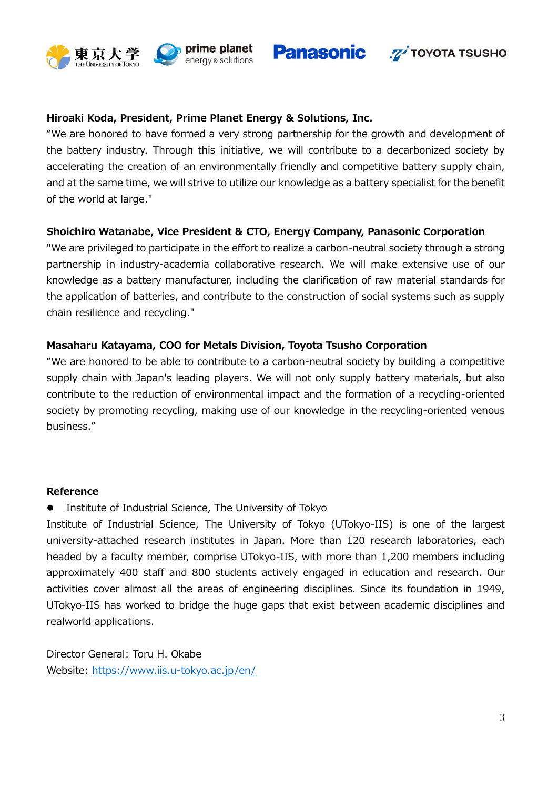







#### **Hiroaki Koda, President, Prime Planet Energy & Solutions, Inc.**

"We are honored to have formed a very strong partnership for the growth and development of the battery industry. Through this initiative, we will contribute to a decarbonized society by accelerating the creation of an environmentally friendly and competitive battery supply chain, and at the same time, we will strive to utilize our knowledge as a battery specialist for the benefit of the world at large."

#### **Shoichiro Watanabe, Vice President & CTO, Energy Company, Panasonic Corporation**

"We are privileged to participate in the effort to realize a carbon-neutral society through a strong partnership in industry-academia collaborative research. We will make extensive use of our knowledge as a battery manufacturer, including the clarification of raw material standards for the application of batteries, and contribute to the construction of social systems such as supply chain resilience and recycling."

#### **Masaharu Katayama, COO for Metals Division, Toyota Tsusho Corporation**

"We are honored to be able to contribute to a carbon-neutral society by building a competitive supply chain with Japan's leading players. We will not only supply battery materials, but also contribute to the reduction of environmental impact and the formation of a recycling-oriented society by promoting recycling, making use of our knowledge in the recycling-oriented venous business."

#### **Reference**

Institute of Industrial Science, The University of Tokyo

Institute of Industrial Science, The University of Tokyo (UTokyo-IIS) is one of the largest university-attached research institutes in Japan. More than 120 research laboratories, each headed by a faculty member, comprise UTokyo-IIS, with more than 1,200 members including approximately 400 staff and 800 students actively engaged in education and research. Our activities cover almost all the areas of engineering disciplines. Since its foundation in 1949, UTokyo-IIS has worked to bridge the huge gaps that exist between academic disciplines and realworld applications.

Director General: Toru H. Okabe Website:<https://www.iis.u-tokyo.ac.jp/en/>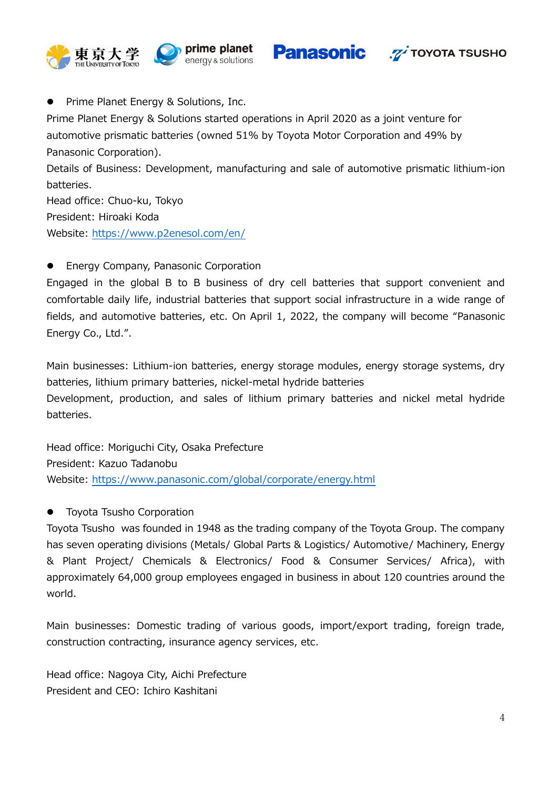

**Panasonic** 



• Prime Planet Energy & Solutions, Inc.

Prime Planet Energy & Solutions started operations in April 2020 as a joint venture for automotive prismatic batteries (owned 51% by Toyota Motor Corporation and 49% by Panasonic Corporation).

Details of Business: Development, manufacturing and sale of automotive prismatic lithium-ion batteries.

Head office: Chuo-ku, Tokyo President: Hiroaki Koda Website:<https://www.p2enesol.com/en/>

**•** Energy Company, Panasonic Corporation

Engaged in the global B to B business of dry cell batteries that support convenient and comfortable daily life, industrial batteries that support social infrastructure in a wide range of fields, and automotive batteries, etc. On April 1, 2022, the company will become "Panasonic Energy Co., Ltd.".

Main businesses: Lithium-ion batteries, energy storage modules, energy storage systems, dry batteries, lithium primary batteries, nickel-metal hydride batteries Development, production, and sales of lithium primary batteries and nickel metal hydride batteries.

Head office: Moriguchi City, Osaka Prefecture President: Kazuo Tadanobu Website:<https://www.panasonic.com/global/corporate/energy.html>

**•** Toyota Tsusho Corporation

Toyota Tsusho was founded in 1948 as the trading company of the Toyota Group. The company has seven operating divisions (Metals/ Global Parts & Logistics/ Automotive/ Machinery, Energy & Plant Project/ Chemicals & Electronics/ Food & Consumer Services/ Africa), with approximately 64,000 group employees engaged in business in about 120 countries around the world.

Main businesses: Domestic trading of various goods, import/export trading, foreign trade, construction contracting, insurance agency services, etc.

Head office: Nagoya City, Aichi Prefecture President and CEO: Ichiro Kashitani